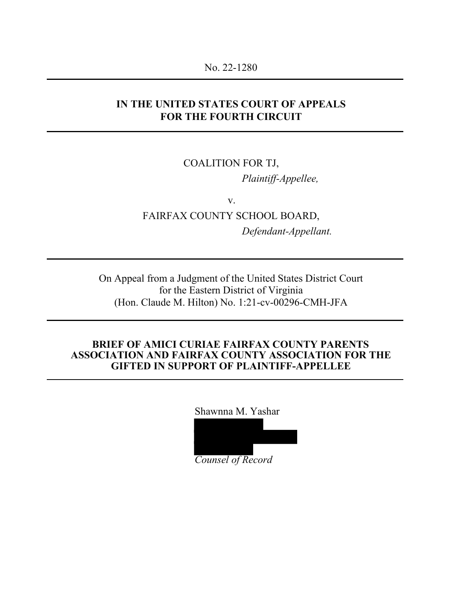#### No. 22-1280

## **IN THE UNITED STATES COURT OF APPEALS FOR THE FOURTH CIRCUIT**

### COALITION FOR TJ,

*Plaintiff-Appellee,*

v. FAIRFAX COUNTY SCHOOL BOARD, *Defendant-Appellant.*

On Appeal from a Judgment of the United States District Court for the Eastern District of Virginia (Hon. Claude M. Hilton) No. 1:21-cv-00296-CMH-JFA

#### **BRIEF OF AMICI CURIAE FAIRFAX COUNTY PARENTS ASSOCIATION AND FAIRFAX COUNTY ASSOCIATION FOR THE GIFTED IN SUPPORT OF PLAINTIFF-APPELLEE**

Shawnna M. Yashar

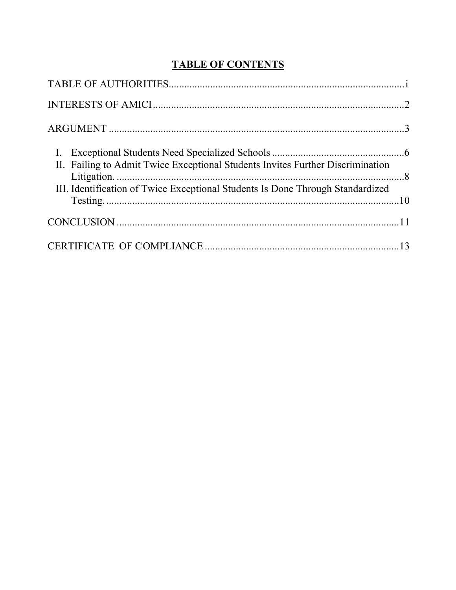# **TABLE OF CONTENTS**

| II. Failing to Admit Twice Exceptional Students Invites Further Discrimination |  |
|--------------------------------------------------------------------------------|--|
| III. Identification of Twice Exceptional Students Is Done Through Standardized |  |
|                                                                                |  |
|                                                                                |  |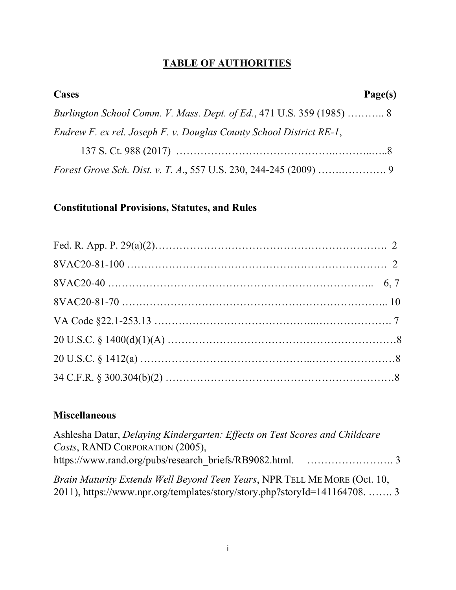# **TABLE OF AUTHORITIES**

| Cases                                                                 | Page(s) |
|-----------------------------------------------------------------------|---------|
| Burlington School Comm. V. Mass. Dept. of Ed., 471 U.S. 359 (1985)  8 |         |
| Endrew F. ex rel. Joseph F. v. Douglas County School District RE-1,   |         |
|                                                                       |         |
|                                                                       |         |

## **Constitutional Provisions, Statutes, and Rules**

## **Miscellaneous**

| Ashlesha Datar, Delaying Kindergarten: Effects on Test Scores and Childcare |  |
|-----------------------------------------------------------------------------|--|
| Costs, RAND CORPORATION (2005),                                             |  |
|                                                                             |  |
| Brain Maturity Extends Well Beyond Teen Years, NPR TELL ME MORE (Oct. 10,   |  |
| 2011), https://www.npr.org/templates/story/story.php?storyId=141164708.  3  |  |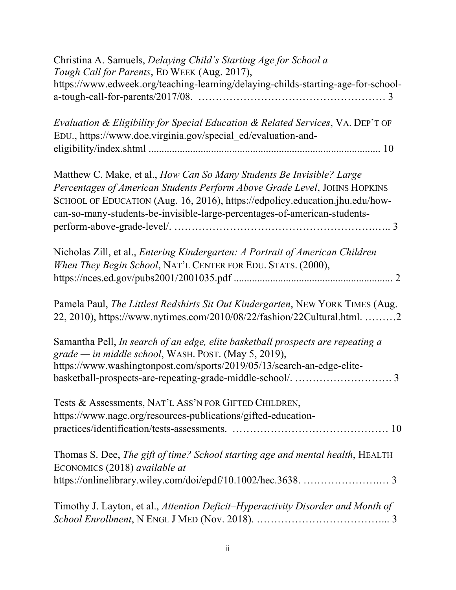| Christina A. Samuels, Delaying Child's Starting Age for School a<br>Tough Call for Parents, ED WEEK (Aug. 2017),                                                                                                                                                                                                |
|-----------------------------------------------------------------------------------------------------------------------------------------------------------------------------------------------------------------------------------------------------------------------------------------------------------------|
| https://www.edweek.org/teaching-learning/delaying-childs-starting-age-for-school-                                                                                                                                                                                                                               |
| <i>Evaluation &amp; Eligibility for Special Education &amp; Related Services, VA. DEP'T OF</i><br>EDU., https://www.doe.virginia.gov/special_ed/evaluation-and-                                                                                                                                                 |
| Matthew C. Make, et al., How Can So Many Students Be Invisible? Large<br>Percentages of American Students Perform Above Grade Level, JOHNS HOPKINS<br>SCHOOL OF EDUCATION (Aug. 16, 2016), https://edpolicy.education.jhu.edu/how-<br>can-so-many-students-be-invisible-large-percentages-of-american-students- |
| Nicholas Zill, et al., Entering Kindergarten: A Portrait of American Children<br>When They Begin School, NAT'L CENTER FOR EDU. STATS. (2000),                                                                                                                                                                   |
| Pamela Paul, The Littlest Redshirts Sit Out Kindergarten, NEW YORK TIMES (Aug.<br>22, 2010), https://www.nytimes.com/2010/08/22/fashion/22Cultural.html2                                                                                                                                                        |
| Samantha Pell, In search of an edge, elite basketball prospects are repeating a<br>grade - in middle school, WASH. POST. (May 5, 2019),<br>https://www.washingtonpost.com/sports/2019/05/13/search-an-edge-elite-                                                                                               |
| Tests & Assessments, NAT'L ASS'N FOR GIFTED CHILDREN,<br>https://www.nagc.org/resources-publications/gifted-education-                                                                                                                                                                                          |
| Thomas S. Dee, The gift of time? School starting age and mental health, HEALTH<br>ECONOMICS (2018) available at                                                                                                                                                                                                 |
| Timothy J. Layton, et al., Attention Deficit–Hyperactivity Disorder and Month of                                                                                                                                                                                                                                |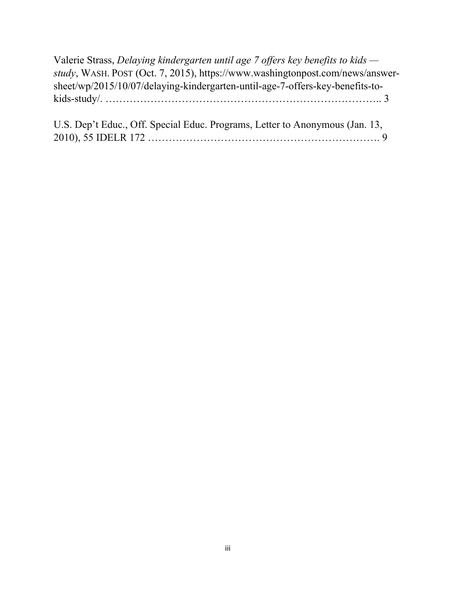Valerie Strass, *Delaying kindergarten until age 7 offers key benefits to kids study*, WASH. POST (Oct. 7, 2015), https://www.washingtonpost.com/news/answersheet/wp/2015/10/07/delaying-kindergarten-until-age-7-offers-key-benefits-tokids-study/. …………………………………………………………………….. 3

U.S. Dep't Educ., Off. Special Educ. Programs, Letter to Anonymous (Jan. 13, 2010), 55 IDELR 172 …………………………………………………………. 9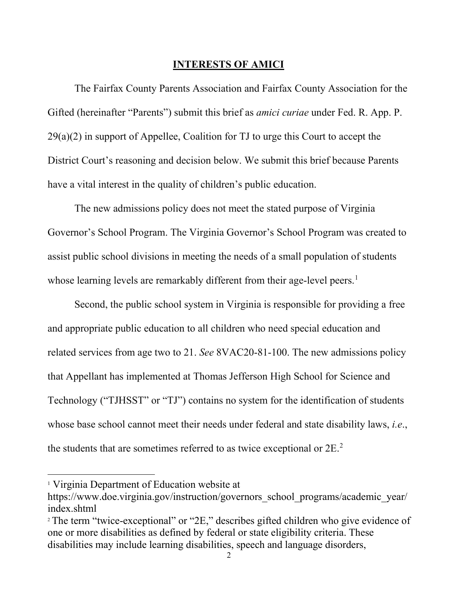#### **INTERESTS OF AMICI**

<span id="page-5-0"></span>The Fairfax County Parents Association and Fairfax County Association for the Gifted (hereinafter "Parents") submit this brief as *amici curiae* under Fed. R. App. P.  $29(a)(2)$  in support of Appellee, Coalition for TJ to urge this Court to accept the District Court's reasoning and decision below. We submit this brief because Parents have a vital interest in the quality of children's public education.

The new admissions policy does not meet the stated purpose of Virginia Governor's School Program. The Virginia Governor's School Program was created to assist public school divisions in meeting the needs of a small population of students whose learning levels are remarkably different from their age-level peers.<sup>[1](#page-5-1)</sup>

Second, the public school system in Virginia is responsible for providing a free and appropriate public education to all children who need special education and related services from age two to 21. *See* 8VAC20-81-100. The new admissions policy that Appellant has implemented at Thomas Jefferson High School for Science and Technology ("TJHSST" or "TJ") contains no system for the identification of students whose base school cannot meet their needs under federal and state disability laws, *i.e*., the students that are sometimes referred to as twice exceptional or  $2E<sup>2</sup>$  $2E<sup>2</sup>$ .

<span id="page-5-1"></span><sup>1</sup> Virginia Department of Education website at

https://www.doe.virginia.gov/instruction/governors\_school\_programs/academic\_year/ index.shtml

<span id="page-5-2"></span><sup>&</sup>lt;sup>2</sup> The term "twice-exceptional" or "2E," describes gifted children who give evidence of one or more disabilities as defined by federal or state eligibility criteria. These disabilities may include learning disabilities, speech and language disorders,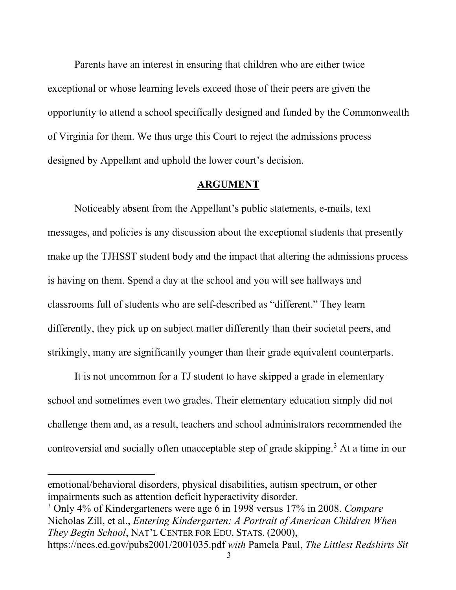Parents have an interest in ensuring that children who are either twice exceptional or whose learning levels exceed those of their peers are given the opportunity to attend a school specifically designed and funded by the Commonwealth of Virginia for them. We thus urge this Court to reject the admissions process designed by Appellant and uphold the lower court's decision.

#### **ARGUMENT**

<span id="page-6-0"></span>Noticeably absent from the Appellant's public statements, e-mails, text messages, and policies is any discussion about the exceptional students that presently make up the TJHSST student body and the impact that altering the admissions process is having on them. Spend a day at the school and you will see hallways and classrooms full of students who are self-described as "different." They learn differently, they pick up on subject matter differently than their societal peers, and strikingly, many are significantly younger than their grade equivalent counterparts.

It is not uncommon for a TJ student to have skipped a grade in elementary school and sometimes even two grades. Their elementary education simply did not challenge them and, as a result, teachers and school administrators recommended the controversial and socially often unacceptable step of grade skipping.<sup>[3](#page-6-1)</sup> At a time in our

emotional/behavioral disorders, physical disabilities, autism spectrum, or other impairments such as attention deficit hyperactivity disorder.

<span id="page-6-1"></span><sup>3</sup> Only 4% of Kindergarteners were age 6 in 1998 versus 17% in 2008. *Compare*  Nicholas Zill, et al., *Entering Kindergarten: A Portrait of American Children When They Begin School*, NAT'L CENTER FOR EDU. STATS. (2000),

https://nces.ed.gov/pubs2001/2001035.pdf *with* Pamela Paul, *The Littlest Redshirts Sit*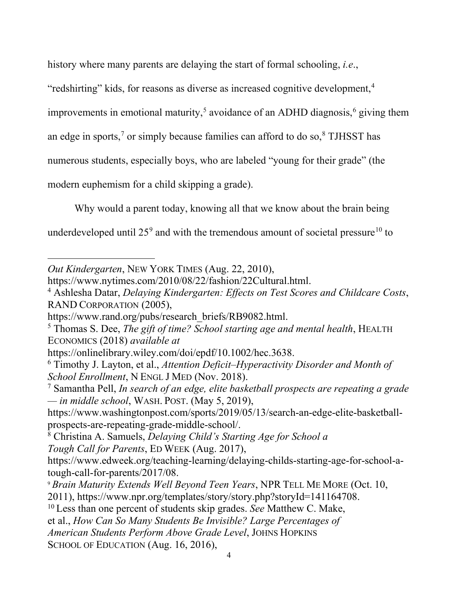history where many parents are delaying the start of formal schooling, *i.e*.,

"redshirting" kids, for reasons as diverse as increased cognitive development,<sup>[4](#page-7-0)</sup>

improvements in emotional maturity,<sup>[5](#page-7-1)</sup> avoidance of an ADHD diagnosis,<sup>[6](#page-7-2)</sup> giving them

an edge in sports,<sup>7</sup> or simply because families can afford to do so, $8$  TJHSST has

numerous students, especially boys, who are labeled "young for their grade" (the

modern euphemism for a child skipping a grade).

Why would a parent today, knowing all that we know about the brain being

underdeveloped until  $25^9$  $25^9$  and with the tremendous amount of societal pressure<sup>[10](#page-7-6)</sup> to

https://www.washingtonpost.com/sports/2019/05/13/search-an-edge-elite-basketballprospects-are-repeating-grade-middle-school/.

<span id="page-7-4"></span>8 Christina A. Samuels, *Delaying Child's Starting Age for School a Tough Call for Parents*, ED WEEK (Aug. 2017),

<span id="page-7-5"></span><sup>9</sup> *Brain Maturity Extends Well Beyond Teen Years*, NPR TELL ME MORE (Oct. 10,

2011), https://www.npr.org/templates/story/story.php?storyId=141164708. 10 Less than one percent of students skip grades. *See* Matthew C. Make,

<span id="page-7-6"></span>

*American Students Perform Above Grade Level*, JOHNS HOPKINS

SCHOOL OF EDUCATION (Aug. 16, 2016),

*Out Kindergarten*, NEW YORK TIMES (Aug. 22, 2010),

https://www.nytimes.com/2010/08/22/fashion/22Cultural.html.

<span id="page-7-0"></span><sup>4</sup> Ashlesha Datar, *Delaying Kindergarten: Effects on Test Scores and Childcare Costs*, RAND CORPORATION (2005),

https://www.rand.org/pubs/research\_briefs/RB9082.html.

<span id="page-7-1"></span><sup>5</sup> Thomas S. Dee, *The gift of time? School starting age and mental health*, HEALTH ECONOMICS (2018) *available at*

<span id="page-7-2"></span>https://onlinelibrary.wiley.com/doi/epdf/10.1002/hec.3638. 6 Timothy J. Layton, et al., *Attention Deficit–Hyperactivity Disorder and Month of School Enrollment*, N ENGL J MED (Nov. 2018).

<span id="page-7-3"></span><sup>7</sup> Samantha Pell, *In search of an edge, elite basketball prospects are repeating a grade — in middle school*, WASH. POST. (May 5, 2019),

https://www.edweek.org/teaching-learning/delaying-childs-starting-age-for-school-atough-call-for-parents/2017/08.

et al., *How Can So Many Students Be Invisible? Large Percentages of*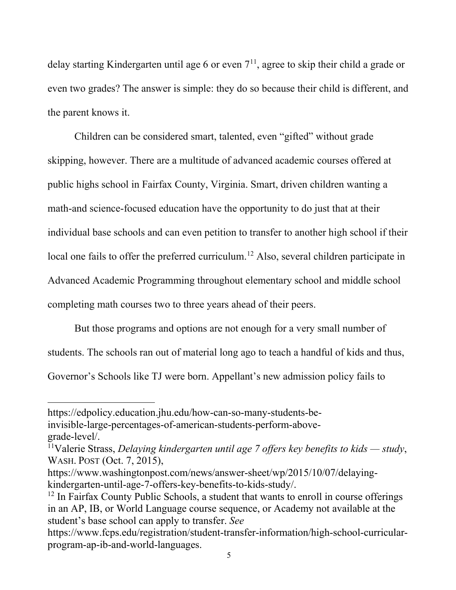delay starting Kindergarten until age 6 or even  $7<sup>11</sup>$  $7<sup>11</sup>$  $7<sup>11</sup>$ , agree to skip their child a grade or even two grades? The answer is simple: they do so because their child is different, and the parent knows it.

Children can be considered smart, talented, even "gifted" without grade skipping, however. There are a multitude of advanced academic courses offered at public highs school in Fairfax County, Virginia. Smart, driven children wanting a math-and science-focused education have the opportunity to do just that at their individual base schools and can even petition to transfer to another high school if their local one fails to offer the preferred curriculum.<sup>[12](#page-8-1)</sup> Also, several children participate in Advanced Academic Programming throughout elementary school and middle school completing math courses two to three years ahead of their peers.

But those programs and options are not enough for a very small number of students. The schools ran out of material long ago to teach a handful of kids and thus, Governor's Schools like TJ were born. Appellant's new admission policy fails to

https://edpolicy.education.jhu.edu/how-can-so-many-students-beinvisible-large-percentages-of-american-students-perform-abovegrade-level/.

<span id="page-8-0"></span><sup>11</sup>Valerie Strass, *Delaying kindergarten until age 7 offers key benefits to kids — study*, WASH. POST (Oct. 7, 2015),

https://www.washingtonpost.com/news/answer-sheet/wp/2015/10/07/delayingkindergarten-until-age-7-offers-key-benefits-to-kids-study/.<br><sup>12</sup> In Fairfax County Public Schools, a student that wants to enroll in course offerings

<span id="page-8-1"></span>in an AP, IB, or World Language course sequence, or Academy not available at the student's base school can apply to transfer. *See* 

https://www.fcps.edu/registration/student-transfer-information/high-school-curricularprogram-ap-ib-and-world-languages.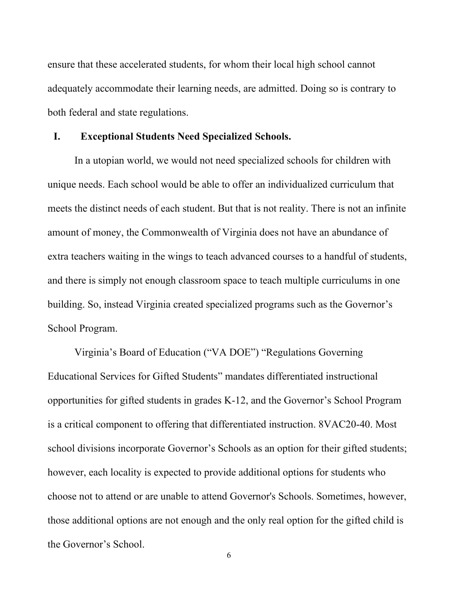ensure that these accelerated students, for whom their local high school cannot adequately accommodate their learning needs, are admitted. Doing so is contrary to both federal and state regulations.

#### <span id="page-9-0"></span>**I. Exceptional Students Need Specialized Schools.**

In a utopian world, we would not need specialized schools for children with unique needs. Each school would be able to offer an individualized curriculum that meets the distinct needs of each student. But that is not reality. There is not an infinite amount of money, the Commonwealth of Virginia does not have an abundance of extra teachers waiting in the wings to teach advanced courses to a handful of students, and there is simply not enough classroom space to teach multiple curriculums in one building. So, instead Virginia created specialized programs such as the Governor's School Program.

Virginia's Board of Education ("VA DOE") "Regulations Governing Educational Services for Gifted Students" mandates differentiated instructional opportunities for gifted students in grades K-12, and the Governor's School Program is a critical component to offering that differentiated instruction. 8VAC20-40. Most school divisions incorporate Governor's Schools as an option for their gifted students; however, each locality is expected to provide additional options for students who choose not to attend or are unable to attend Governor's Schools. Sometimes, however, those additional options are not enough and the only real option for the gifted child is the Governor's School.

6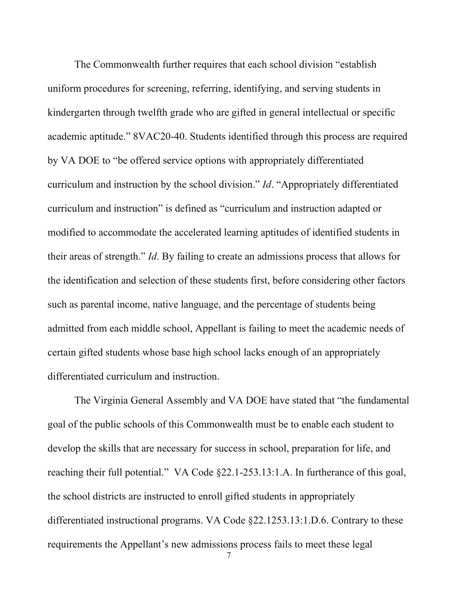The Commonwealth further requires that each school division "establish uniform procedures for screening, referring, identifying, and serving students in kindergarten through twelfth grade who are gifted in general intellectual or specific academic aptitude." 8VAC20-40. Students identified through this process are required by VA DOE to "be offered service options with appropriately differentiated curriculum and instruction by the school division." *Id*. "Appropriately differentiated curriculum and instruction" is defined as "curriculum and instruction adapted or modified to accommodate the accelerated learning aptitudes of identified students in their areas of strength." *Id*. By failing to create an admissions process that allows for the identification and selection of these students first, before considering other factors such as parental income, native language, and the percentage of students being admitted from each middle school, Appellant is failing to meet the academic needs of certain gifted students whose base high school lacks enough of an appropriately differentiated curriculum and instruction.

The Virginia General Assembly and VA DOE have stated that "the fundamental goal of the public schools of this Commonwealth must be to enable each student to develop the skills that are necessary for success in school, preparation for life, and reaching their full potential." VA Code §22.1-253.13:1.A. In furtherance of this goal, the school districts are instructed to enroll gifted students in appropriately differentiated instructional programs. VA Code §22.1253.13:1.D.6. Contrary to these requirements the Appellant's new admissions process fails to meet these legal

7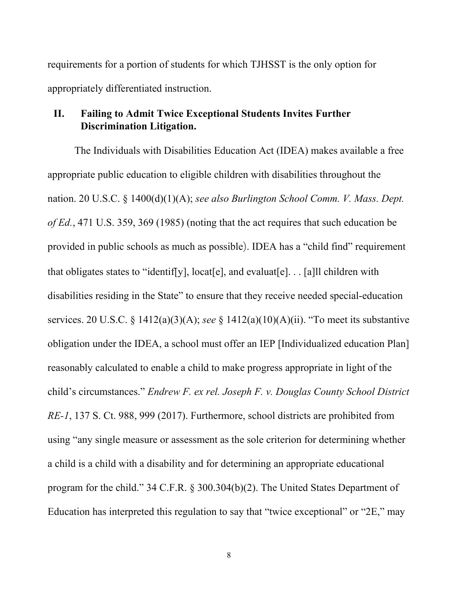requirements for a portion of students for which TJHSST is the only option for appropriately differentiated instruction.

### <span id="page-11-0"></span>**II. Failing to Admit Twice Exceptional Students Invites Further Discrimination Litigation.**

The Individuals with Disabilities Education Act (IDEA) makes available a free appropriate public education to eligible children with disabilities throughout the nation. 20 U.S.C. § 1400(d)(1)(A); *see also Burlington School Comm. V. Mass. Dept. of Ed.*, 471 U.S. 359, 369 (1985) (noting that the act requires that such education be provided in public schools as much as possible). IDEA has a "child find" requirement that obligates states to "identif[y], locat[e], and evaluat[e]. . . [a]ll children with disabilities residing in the State" to ensure that they receive needed special-education services. 20 U.S.C. § 1412(a)(3)(A); *see* § 1412(a)(10)(A)(ii). "To meet its substantive obligation under the IDEA, a school must offer an IEP [Individualized education Plan] reasonably calculated to enable a child to make progress appropriate in light of the child's circumstances." *Endrew F. ex rel. Joseph F. v. Douglas County School District RE-1*, 137 S. Ct. 988, 999 (2017). Furthermore, school districts are prohibited from using "any single measure or assessment as the sole criterion for determining whether a child is a child with a disability and for determining an appropriate educational program for the child." 34 C.F.R. § 300.304(b)(2). The United States Department of Education has interpreted this regulation to say that "twice exceptional" or "2E," may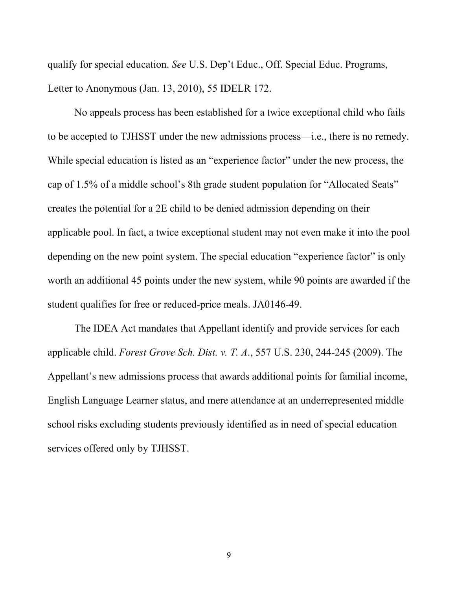qualify for special education. *See* U.S. Dep't Educ., Off. Special Educ. Programs, Letter to Anonymous (Jan. 13, 2010), 55 IDELR 172.

No appeals process has been established for a twice exceptional child who fails to be accepted to TJHSST under the new admissions process—i.e., there is no remedy. While special education is listed as an "experience factor" under the new process, the cap of 1.5% of a middle school's 8th grade student population for "Allocated Seats" creates the potential for a 2E child to be denied admission depending on their applicable pool. In fact, a twice exceptional student may not even make it into the pool depending on the new point system. The special education "experience factor" is only worth an additional 45 points under the new system, while 90 points are awarded if the student qualifies for free or reduced-price meals. JA0146-49.

The IDEA Act mandates that Appellant identify and provide services for each applicable child. *Forest Grove Sch. Dist. v. T. A*., 557 U.S. 230, 244-245 (2009). The Appellant's new admissions process that awards additional points for familial income, English Language Learner status, and mere attendance at an underrepresented middle school risks excluding students previously identified as in need of special education services offered only by TJHSST.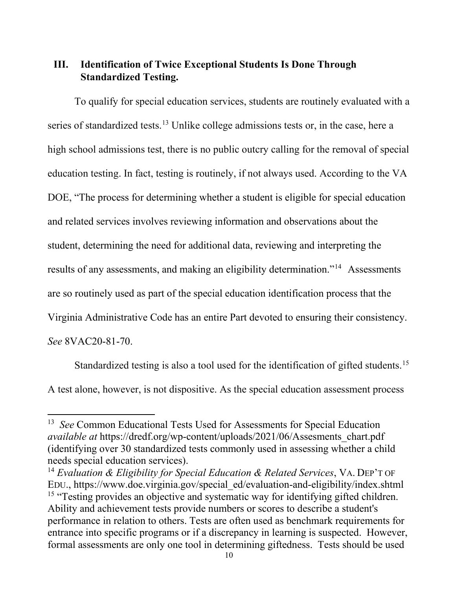## <span id="page-13-0"></span>**III. Identification of Twice Exceptional Students Is Done Through Standardized Testing.**

To qualify for special education services, students are routinely evaluated with a series of standardized tests.<sup>[13](#page-13-1)</sup> Unlike college admissions tests or, in the case, here a high school admissions test, there is no public outcry calling for the removal of special education testing. In fact, testing is routinely, if not always used. According to the VA DOE, "The process for determining whether a student is eligible for special education and related services involves reviewing information and observations about the student, determining the need for additional data, reviewing and interpreting the results of any assessments, and making an eligibility determination."[14](#page-13-2) Assessments are so routinely used as part of the special education identification process that the Virginia Administrative Code has an entire Part devoted to ensuring their consistency. *See* 8VAC20-81-70.

Standardized testing is also a tool used for the identification of gifted students.<sup>[15](#page-13-3)</sup> A test alone, however, is not dispositive. As the special education assessment process

<span id="page-13-1"></span><sup>13</sup> *See* Common Educational Tests Used for Assessments for Special Education *available at* https://dredf.org/wp-content/uploads/2021/06/Assesments\_chart.pdf (identifying over 30 standardized tests commonly used in assessing whether a child needs special education services).

<span id="page-13-3"></span><span id="page-13-2"></span><sup>14</sup> *Evaluation & Eligibility for Special Education & Related Services*, VA. DEP'T OF EDU., https://www.doe.virginia.gov/special\_ed/evaluation-and-eligibility/index.shtml <sup>15</sup> "Testing provides an objective and systematic way for identifying gifted children. Ability and achievement tests provide numbers or scores to describe a student's performance in relation to others. Tests are often used as benchmark requirements for entrance into specific programs or if a discrepancy in learning is suspected. However, formal assessments are only one tool in determining giftedness. Tests should be used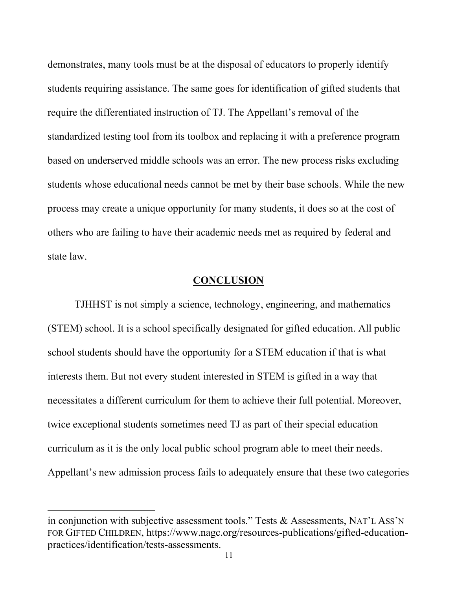demonstrates, many tools must be at the disposal of educators to properly identify students requiring assistance. The same goes for identification of gifted students that require the differentiated instruction of TJ. The Appellant's removal of the standardized testing tool from its toolbox and replacing it with a preference program based on underserved middle schools was an error. The new process risks excluding students whose educational needs cannot be met by their base schools. While the new process may create a unique opportunity for many students, it does so at the cost of others who are failing to have their academic needs met as required by federal and state law.

### **CONCLUSION**

<span id="page-14-0"></span>TJHHST is not simply a science, technology, engineering, and mathematics (STEM) school. It is a school specifically designated for gifted education. All public school students should have the opportunity for a STEM education if that is what interests them. But not every student interested in STEM is gifted in a way that necessitates a different curriculum for them to achieve their full potential. Moreover, twice exceptional students sometimes need TJ as part of their special education curriculum as it is the only local public school program able to meet their needs. Appellant's new admission process fails to adequately ensure that these two categories

in conjunction with subjective assessment tools." Tests & Assessments, NAT'L ASS'N FOR GIFTED CHILDREN, https://www.nagc.org/resources-publications/gifted-educationpractices/identification/tests-assessments.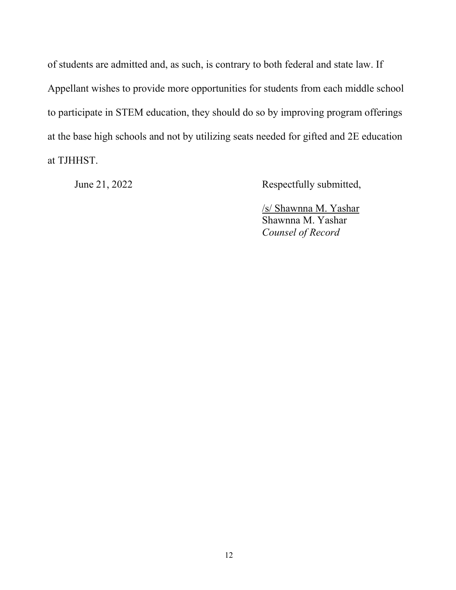of students are admitted and, as such, is contrary to both federal and state law. If Appellant wishes to provide more opportunities for students from each middle school to participate in STEM education, they should do so by improving program offerings at the base high schools and not by utilizing seats needed for gifted and 2E education at TJHHST.

<span id="page-15-0"></span>

June 21, 2022 Respectfully submitted,

/s/ Shawnna M. Yashar Shawnna M. Yashar *Counsel of Record*